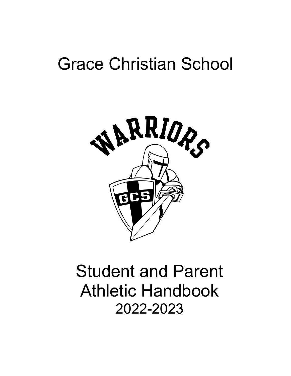# Grace Christian School



# Student and Parent Athletic Handbook 2022-2023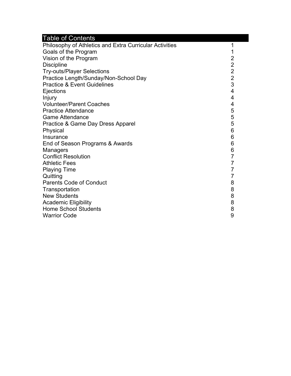# Table of Contents

| Philosophy of Athletics and Extra Curricular Activities | 1                       |
|---------------------------------------------------------|-------------------------|
| Goals of the Program                                    | 1                       |
| Vision of the Program                                   |                         |
| <b>Discipline</b>                                       |                         |
| <b>Try-outs/Player Selections</b>                       |                         |
| Practice Length/Sunday/Non-School Day                   | $2222$<br>$23$          |
| <b>Practice &amp; Event Guidelines</b>                  |                         |
| Ejections                                               | 4                       |
| Injury                                                  | $\overline{\mathbf{4}}$ |
| <b>Volunteer/Parent Coaches</b>                         | $\overline{\mathbf{4}}$ |
| <b>Practice Attendance</b>                              | 5                       |
| <b>Game Attendance</b>                                  | 5                       |
| Practice & Game Day Dress Apparel                       | 5                       |
| Physical                                                | 6                       |
| Insurance                                               | 6                       |
| End of Season Programs & Awards                         | 6                       |
| <b>Managers</b>                                         | 6                       |
| <b>Conflict Resolution</b>                              | $\overline{7}$          |
| <b>Athletic Fees</b>                                    | $\overline{7}$          |
| <b>Playing Time</b>                                     | $\overline{7}$          |
| Quitting                                                | $\overline{7}$          |
| <b>Parents Code of Conduct</b>                          | 8                       |
| Transportation                                          | 8                       |
| <b>New Students</b>                                     | 8                       |
| <b>Academic Eligibility</b>                             | 8                       |
| <b>Home School Students</b>                             | 8                       |
| <b>Warrior Code</b>                                     | 9                       |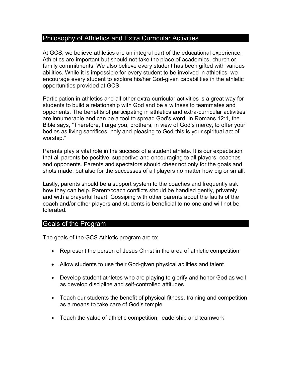## Philosophy of Athletics and Extra Curricular Activities

At GCS, we believe athletics are an integral part of the educational experience. Athletics are important but should not take the place of academics, church or family commitments. We also believe every student has been gifted with various abilities. While it is impossible for every student to be involved in athletics, we encourage every student to explore his/her God-given capabilities in the athletic opportunities provided at GCS.

Participation in athletics and all other extra-curricular activities is a great way for students to build a relationship with God and be a witness to teammates and opponents. The benefits of participating in athletics and extra-curricular activities are innumerable and can be a tool to spread God's word. In Romans 12:1, the Bible says, "Therefore, I urge you, brothers, in view of God's mercy, to offer your bodies as living sacrifices, holy and pleasing to God-this is your spiritual act of worship."

Parents play a vital role in the success of a student athlete. It is our expectation that all parents be positive, supportive and encouraging to all players, coaches and opponents. Parents and spectators should cheer not only for the goals and shots made, but also for the successes of all players no matter how big or small.

Lastly, parents should be a support system to the coaches and frequently ask how they can help. Parent/coach conflicts should be handled gently, privately and with a prayerful heart. Gossiping with other parents about the faults of the coach and/or other players and students is beneficial to no one and will not be tolerated.

#### Goals of the Program

The goals of the GCS Athletic program are to:

- Represent the person of Jesus Christ in the area of athletic competition
- Allow students to use their God-given physical abilities and talent
- Develop student athletes who are playing to glorify and honor God as well as develop discipline and self-controlled attitudes
- Teach our students the benefit of physical fitness, training and competition as a means to take care of God's temple
- Teach the value of athletic competition, leadership and teamwork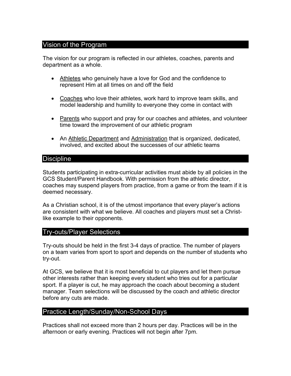# Vision of the Program

The vision for our program is reflected in our athletes, coaches, parents and department as a whole.

- Athletes who genuinely have a love for God and the confidence to represent Him at all times on and off the field
- Coaches who love their athletes, work hard to improve team skills, and model leadership and humility to everyone they come in contact with
- Parents who support and pray for our coaches and athletes, and volunteer time toward the improvement of our athletic program
- An Athletic Department and Administration that is organized, dedicated, involved, and excited about the successes of our athletic teams

#### **Discipline**

Students participating in extra-curricular activities must abide by all policies in the GCS Student/Parent Handbook. With permission from the athletic director, coaches may suspend players from practice, from a game or from the team if it is deemed necessary.

As a Christian school, it is of the utmost importance that every player's actions are consistent with what we believe. All coaches and players must set a Christlike example to their opponents.

#### Try-outs/Player Selections

Try-outs should be held in the first 3-4 days of practice. The number of players on a team varies from sport to sport and depends on the number of students who try-out.

At GCS, we believe that it is most beneficial to cut players and let them pursue other interests rather than keeping every student who tries out for a particular sport. If a player is cut, he may approach the coach about becoming a student manager. Team selections will be discussed by the coach and athletic director before any cuts are made.

### Practice Length/Sunday/Non-School Days

Practices shall not exceed more than 2 hours per day. Practices will be in the afternoon or early evening. Practices will not begin after 7pm.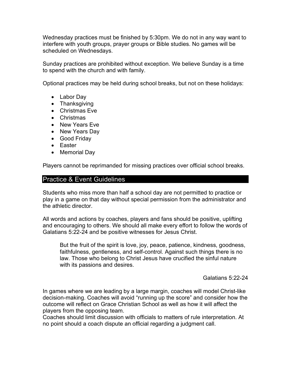Wednesday practices must be finished by 5:30pm. We do not in any way want to interfere with youth groups, prayer groups or Bible studies. No games will be scheduled on Wednesdays.

Sunday practices are prohibited without exception. We believe Sunday is a time to spend with the church and with family.

Optional practices may be held during school breaks, but not on these holidays:

- Labor Day
- Thanksgiving
- Christmas Eve
- Christmas
- New Years Eve
- New Years Day
- Good Friday
- Easter
- Memorial Day

Players cannot be reprimanded for missing practices over official school breaks.

## Practice & Event Guidelines

Students who miss more than half a school day are not permitted to practice or play in a game on that day without special permission from the administrator and the athletic director.

All words and actions by coaches, players and fans should be positive, uplifting and encouraging to others. We should all make every effort to follow the words of Galatians 5:22-24 and be positive witnesses for Jesus Christ.

But the fruit of the spirit is love, joy, peace, patience, kindness, goodness, faithfulness, gentleness, and self-control. Against such things there is no law. Those who belong to Christ Jesus have crucified the sinful nature with its passions and desires.

Galatians 5:22-24

In games where we are leading by a large margin, coaches will model Christ-like decision-making. Coaches will avoid "running up the score" and consider how the outcome will reflect on Grace Christian School as well as how it will affect the players from the opposing team.

Coaches should limit discussion with officials to matters of rule interpretation. At no point should a coach dispute an official regarding a judgment call.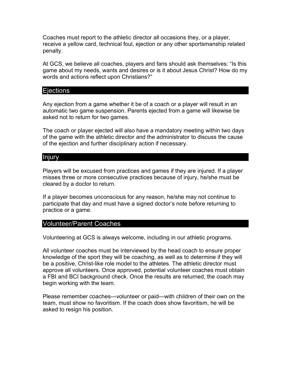Coaches must report to the athletic director all occasions they, or a player, receive a yellow card, technical foul, ejection or any other sportsmanship related penalty.

At GCS, we believe all coaches, players and fans should ask themselves: "Is this game about my needs, wants and desires or is it about Jesus Christ? How do my words and actions reflect upon Christians?"

#### **Ejections**

Any ejection from a game whether it be of a coach or a player will result in an automatic two game suspension. Parents ejected from a game will likewise be asked not to return for two games.

The coach or player ejected will also have a mandatory meeting within two days of the game with the athletic director and the administrator to discuss the cause of the ejection and further disciplinary action if necessary.

#### Injury

Players will be excused from practices and games if they are injured. If a player misses three or more consecutive practices because of injury, he/she must be cleared by a doctor to return.

If a player becomes unconscious for any reason, he/she may not continue to participate that day and must have a signed doctor's note before returning to practice or a game.

#### Volunteer/Parent Coaches

Volunteering at GCS is always welcome, including in our athletic programs.

All volunteer coaches must be interviewed by the head coach to ensure proper knowledge of the sport they will be coaching, as well as to determine if they will be a positive, Christ-like role model to the athletes. The athletic director must approve all volunteers. Once approved, potential volunteer coaches must obtain a FBI and BCI background check. Once the results are returned, the coach may begin working with the team.

Please remember coaches—volunteer or paid—with children of their own on the team, must show no favoritism. If the coach does show favoritism, he will be asked to resign his position.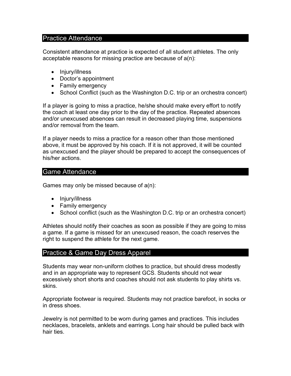#### Practice Attendance

Consistent attendance at practice is expected of all student athletes. The only acceptable reasons for missing practice are because of a(n):

- Injury/illness
- Doctor's appointment
- Family emergency
- School Conflict (such as the Washington D.C. trip or an orchestra concert)

If a player is going to miss a practice, he/she should make every effort to notify the coach at least one day prior to the day of the practice. Repeated absences and/or unexcused absences can result in decreased playing time, suspensions and/or removal from the team.

If a player needs to miss a practice for a reason other than those mentioned above, it must be approved by his coach. If it is not approved, it will be counted as unexcused and the player should be prepared to accept the consequences of his/her actions.

#### Game Attendance

Games may only be missed because of a(n):

- Injury/illness
- Family emergency
- School conflict (such as the Washington D.C. trip or an orchestra concert)

Athletes should notify their coaches as soon as possible if they are going to miss a game. If a game is missed for an unexcused reason, the coach reserves the right to suspend the athlete for the next game.

#### Practice & Game Day Dress Apparel

Students may wear non-uniform clothes to practice, but should dress modestly and in an appropriate way to represent GCS. Students should not wear excessively short shorts and coaches should not ask students to play shirts vs. skins.

Appropriate footwear is required. Students may not practice barefoot, in socks or in dress shoes.

Jewelry is not permitted to be worn during games and practices. This includes necklaces, bracelets, anklets and earrings. Long hair should be pulled back with hair ties.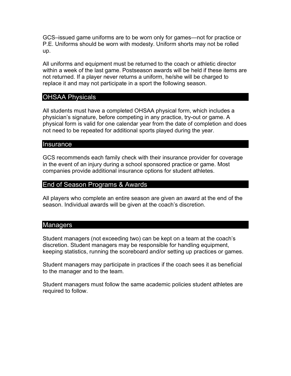GCS–issued game uniforms are to be worn only for games—not for practice or P.E. Uniforms should be worn with modesty. Uniform shorts may not be rolled up.

All uniforms and equipment must be returned to the coach or athletic director within a week of the last game. Postseason awards will be held if these items are not returned. If a player never returns a uniform, he/she will be charged to replace it and may not participate in a sport the following season.

# OHSAA Physicals

All students must have a completed OHSAA physical form, which includes a physician's signature, before competing in any practice, try-out or game. A physical form is valid for one calendar year from the date of completion and does not need to be repeated for additional sports played during the year.

#### **Insurance**

GCS recommends each family check with their insurance provider for coverage in the event of an injury during a school sponsored practice or game. Most companies provide additional insurance options for student athletes.

#### End of Season Programs & Awards

All players who complete an entire season are given an award at the end of the season. Individual awards will be given at the coach's discretion.

#### **Managers**

Student managers (not exceeding two) can be kept on a team at the coach's discretion. Student managers may be responsible for handling equipment, keeping statistics, running the scoreboard and/or setting up practices or games.

Student managers may participate in practices if the coach sees it as beneficial to the manager and to the team.

Student managers must follow the same academic policies student athletes are required to follow.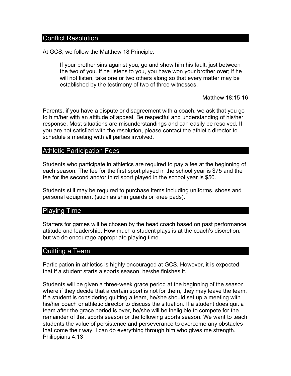#### Conflict Resolution

At GCS, we follow the Matthew 18 Principle:

If your brother sins against you, go and show him his fault, just between the two of you. If he listens to you, you have won your brother over; if he will not listen, take one or two others along so that every matter may be established by the testimony of two of three witnesses.

Matthew 18:15-16

Parents, if you have a dispute or disagreement with a coach, we ask that you go to him/her with an attitude of appeal. Be respectful and understanding of his/her response. Most situations are misunderstandings and can easily be resolved. If you are not satisfied with the resolution, please contact the athletic director to schedule a meeting with all parties involved.

#### Athletic Participation Fees

Students who participate in athletics are required to pay a fee at the beginning of each season. The fee for the first sport played in the school year is \$75 and the fee for the second and/or third sport played in the school year is \$50.

Students still may be required to purchase items including uniforms, shoes and personal equipment (such as shin guards or knee pads).

#### Playing Time

Starters for games will be chosen by the head coach based on past performance, attitude and leadership. How much a student plays is at the coach's discretion, but we do encourage appropriate playing time.

#### Quitting a Team

Participation in athletics is highly encouraged at GCS. However, it is expected that if a student starts a sports season, he/she finishes it.

Students will be given a three-week grace period at the beginning of the season where if they decide that a certain sport is not for them, they may leave the team. If a student is considering quitting a team, he/she should set up a meeting with his/her coach or athletic director to discuss the situation. If a student does quit a team after the grace period is over, he/she will be ineligible to compete for the remainder of that sports season or the following sports season. We want to teach students the value of persistence and perseverance to overcome any obstacles that come their way. I can do everything through him who gives me strength. Philippians 4:13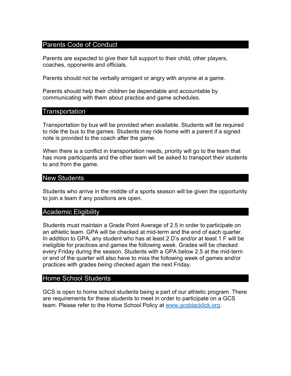## Parents Code of Conduct

Parents are expected to give their full support to their child, other players, coaches, opponents and officials.

Parents should not be verbally arrogant or angry with anyone at a game.

Parents should help their children be dependable and accountable by communicating with them about practice and game schedules.

#### **Transportation**

Transportation by bus will be provided when available. Students will be required to ride the bus to the games. Students may ride home with a parent if a signed note is provided to the coach after the game.

When there is a conflict in transportation needs, priority will go to the team that has more participants and the other team will be asked to transport their students to and from the game.

#### New Students

Students who arrive in the middle of a sports season will be given the opportunity to join a team if any positions are open.

#### Academic Eligibility

Students must maintain a Grade Point Average of 2.5 in order to participate on an athletic team. GPA will be checked at mid-term and the end of each quarter. In addition to GPA, any student who has at least 2 D's and/or at least 1 F will be ineligible for practices and games the following week. Grades will be checked every Friday during the season. Students with a GPA below 2.5 at the mid-term or end of the quarter will also have to miss the following week of games and/or practices with grades being checked again the next Friday.

#### Home School Students

GCS is open to home school students being a part of our athletic program. There are requirements for these students to meet in order to participate on a GCS team. Please refer to the Home School Policy at www.gcsblacklick.org.